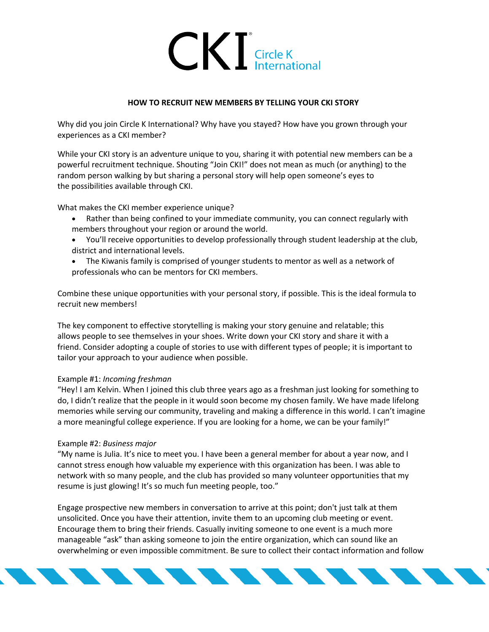

### **HOW TO RECRUIT NEW MEMBERS BY TELLING YOUR CKI STORY**

Why did you join Circle K International? Why have you stayed? How have you grown through your experiences as a CKI member?

While your CKI story is an adventure unique to you, sharing it with potential new members can be a powerful recruitment technique. Shouting "Join CKI!" does not mean as much (or anything) to the random person walking by but sharing a personal story will help open someone's eyes to the possibilities available through CKI.

What makes the CKI member experience unique?

- Rather than being confined to your immediate community, you can connect regularly with members throughout your region or around the world.
- You'll receive opportunities to develop professionally through student leadership at the club, district and international levels.
- The Kiwanis family is comprised of younger students to mentor as well as a network of professionals who can be mentors for CKI members.

Combine these unique opportunities with your personal story, if possible. This is the ideal formula to recruit new members!

The key component to effective storytelling is making your story genuine and relatable; this allows people to see themselves in your shoes. Write down your CKI story and share it with a friend. Consider adopting a couple of stories to use with different types of people; it is important to tailor your approach to your audience when possible.

#### Example #1: *Incoming freshman*

"Hey! I am Kelvin. When I joined this club three years ago as a freshman just looking for something to do, I didn't realize that the people in it would soon become my chosen family. We have made lifelong memories while serving our community, traveling and making a difference in this world. I can't imagine a more meaningful college experience. If you are looking for a home, we can be your family!"

#### Example #2: *Business major*

"My name is Julia. It's nice to meet you. I have been a general member for about a year now, and I cannot stress enough how valuable my experience with this organization has been. I was able to network with so many people, and the club has provided so many volunteer opportunities that my resume is just glowing! It's so much fun meeting people, too."

Engage prospective new members in conversation to arrive at this point; don't just talk at them unsolicited. Once you have their attention, invite them to an upcoming club meeting or event. Encourage them to bring their friends. Casually inviting someone to one event is a much more manageable "ask" than asking someone to join the entire organization, which can sound like an overwhelming or even impossible commitment. Be sure to collect their contact information and follow